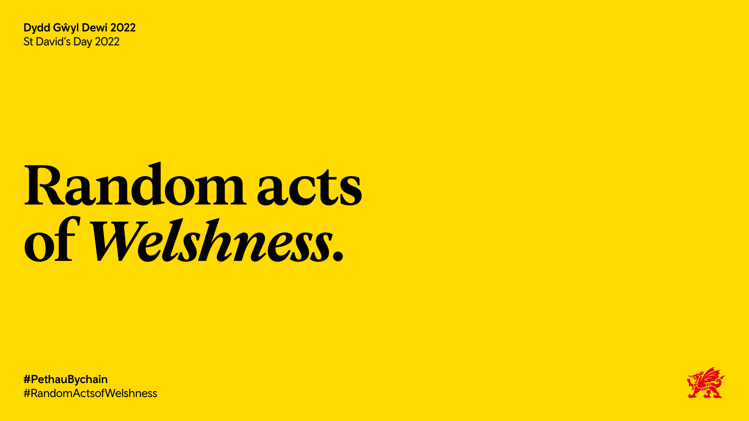Dydd Gŵyl Dewi 2022 St David's Day 2022

# Random acts of Welshness.

**#PethauBychain** #RandomActsofWelshness



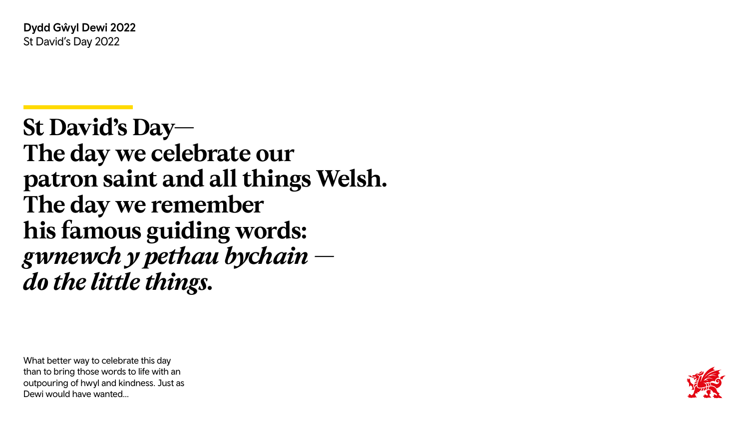Dydd Gŵyl Dewi 2022 St David's Day 2022

What better way to celebrate this day than to bring those words to life with an outpouring of hwyl and kindness. Just as Dewi would have wanted…





# **St David's Day— The day we celebrate our patron saint and all things Welsh. The day we remember his famous guiding words:** *gwnewch y pethau bychain do the little things.*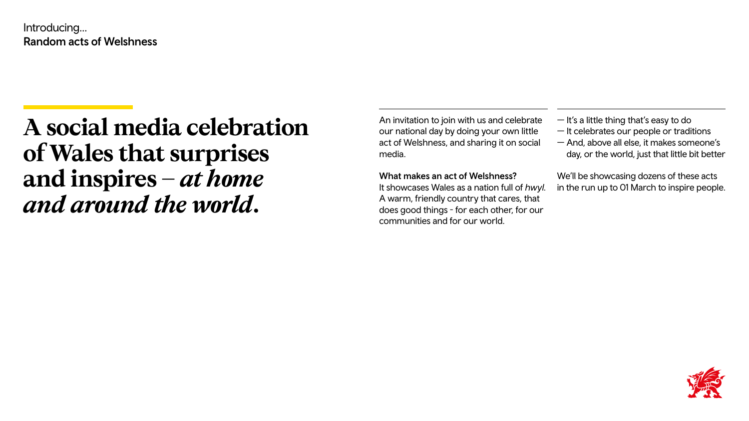# **A social media celebration of Wales that surprises and inspires –** *at home and around the world***.**

Introducing… Random acts of Welshness

> An invitation to join with us and celebrate our national day by doing your own little act of Welshness, and sharing it on social media.

## What makes an act of Welshness?

It showcases Wales as a nation full of *hwyl*. A warm, friendly country that cares, that does good things - for each other, for our communities and for our world.

- It's a little thing that's easy to do
- It celebrates our people or traditions
- And, above all else, it makes someone's day, or the world, just that little bit better

We'll be showcasing dozens of these acts in the run up to 01 March to inspire people.





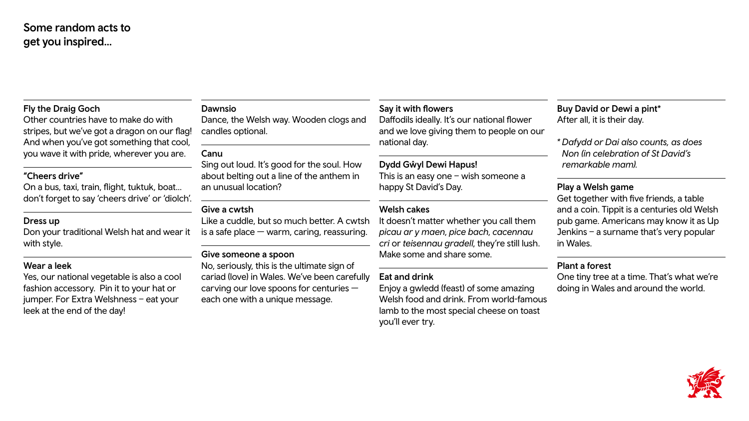# Some random acts to get you inspired…

### Fly the Draig Goch

Other countries have to make do with stripes, but we've got a dragon on our flag! And when you've got something that cool, you wave it with pride, wherever you are.

#### "Cheers drive"

On a bus, taxi, train, flight, tuktuk, boat… don't forget to say 'cheers drive' or 'diolch'. Dance, the Welsh way. Wooden clogs are candles optional.

#### Dress up

Don your traditional Welsh hat and wear it with style.

#### Wear a leek

Yes, our national vegetable is also a cool fashion accessory. Pin it to your hat or jumper. For Extra Welshness – eat your leek at the end of the day!

#### Dawnsio

#### Canu

Sing out loud. It's good for the soul. How about belting out a line of the anthem in an unusual location?

#### Give a cwtsh

Like a cuddle, but so much better. A cw is a safe place  $-$  warm, caring, reassuring

#### Give someone a spoon

No, seriously, this is the ultimate sign of cariad (love) in Wales. We've been careful carving our love spoons for centuries each one with a unique message.

| Say it with flowers<br>Daffodils ideally. It's our national flower<br>and we love giving them to people on our | <b>Buy David</b><br>After all, it |
|----------------------------------------------------------------------------------------------------------------|-----------------------------------|
| national day.                                                                                                  | * Dafydd c<br>Non (in c           |
| <b>Dydd Gŵyl Dewi Hapus!</b>                                                                                   | remarka                           |
| This is an easy one $-$ wish someone a                                                                         |                                   |
| happy St David's Day.                                                                                          | <b>Play a We</b><br>Get togeth    |
| <b>Welsh cakes</b>                                                                                             | and a coin                        |
| It doesn't matter whether you call them                                                                        | pub game                          |
| picau ar y maen, pice bach, cacennau                                                                           | Jenkins $-$                       |
| cri or teisennau gradell, they're still lush.                                                                  | in Wales.                         |
| Make some and share some.                                                                                      |                                   |
|                                                                                                                | <b>Plant a for</b>                |
| <b>Eat and drink</b>                                                                                           | One tiny ti                       |
| Enjoy a gwledd (feast) of some amazing                                                                         | doing in W                        |
| Welsh food and drink. From world-famous                                                                        |                                   |
| lamb to the most special cheese on toast<br>you'll ever try.                                                   |                                   |

I or Dewi a pint\* is their day.

*\* Dafydd or Dai also counts, as does Non (in celebration of St David's remarkable mam).*

#### elsh game

her with five friends, a table n. Tippit is a centuries old Welsh e. Americans may know it as Up a surname that's very popular

## rest

ree at a time. That's what we're Vales and around the world.







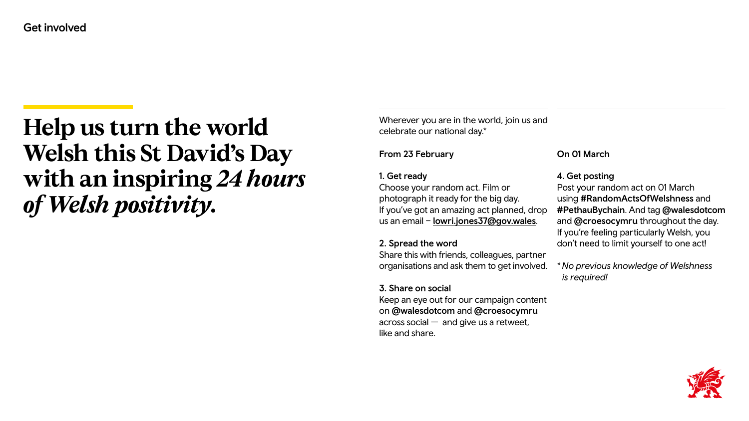Wherever you are in the world, join us and celebrate our national day.\*

Choose your random act. Film or photograph it ready for the big day. If you've got an amazing act planned, drop us an email – [lowri.jones37@gov.wales](mailto:lowri.jones37@gov.wales).

# From 23 February

## 1. Get ready

## 2. Spread the word

Share this with friends, colleagues, partner organisations and ask them to get involved.

# 3. Share on social

Keep an eye out for our campaign content on @walesdotcom and @croesocymru across social — and give us a retweet, like and share.

# **Help us turn the world Welsh this St David's Day with an inspiring** *24 hours of Welsh positivity***.**

Get involved

# On 01 March

# 4. Get posting

Post your random act on 01 March using #RandomActsOfWelshness and #PethauBychain. And tag @walesdotcom and @croesocymru throughout the day. If you're feeling particularly Welsh, you don't need to limit yourself to one act!

*\* No previous knowledge of Welshness is required!*